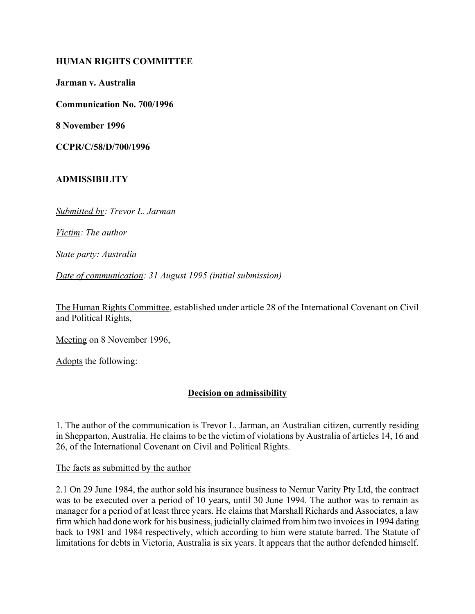#### **HUMAN RIGHTS COMMITTEE**

**Jarman v. Australia**

**Communication No. 700/1996**

**8 November 1996**

**CCPR/C/58/D/700/1996** 

# **ADMISSIBILITY**

*Submitted by: Trevor L. Jarman* 

*Victim: The author* 

*State party: Australia* 

*Date of communication: 31 August 1995 (initial submission)*

The Human Rights Committee, established under article 28 of the International Covenant on Civil and Political Rights,

Meeting on 8 November 1996,

Adopts the following:

## **Decision on admissibility**

1. The author of the communication is Trevor L. Jarman, an Australian citizen, currently residing in Shepparton, Australia. He claims to be the victim of violations by Australia of articles 14, 16 and 26, of the International Covenant on Civil and Political Rights.

The facts as submitted by the author

2.1 On 29 June 1984, the author sold his insurance business to Nemur Varity Pty Ltd, the contract was to be executed over a period of 10 years, until 30 June 1994. The author was to remain as manager for a period of at least three years. He claims that Marshall Richards and Associates, a law firm which had done work for his business, judicially claimed from him two invoices in 1994 dating back to 1981 and 1984 respectively, which according to him were statute barred. The Statute of limitations for debts in Victoria, Australia is six years. It appears that the author defended himself.